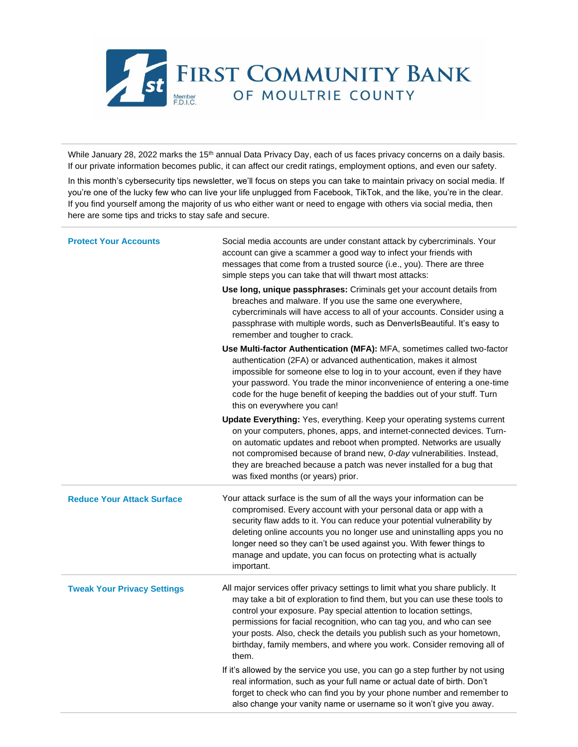

While January 28, 2022 marks the 15<sup>th</sup> annual Data Privacy Day, each of us faces privacy concerns on a daily basis. If our private information becomes public, it can affect our credit ratings, employment options, and even our safety.

In this month's cybersecurity tips newsletter, we'll focus on steps you can take to maintain privacy on social media. If you're one of the lucky few who can live your life unplugged from Facebook, TikTok, and the like, you're in the clear. If you find yourself among the majority of us who either want or need to engage with others via social media, then here are some tips and tricks to stay safe and secure.

| <b>Protect Your Accounts</b>       | Social media accounts are under constant attack by cybercriminals. Your<br>account can give a scammer a good way to infect your friends with<br>messages that come from a trusted source (i.e., you). There are three<br>simple steps you can take that will thwart most attacks:                                                                                                                                                                                       |
|------------------------------------|-------------------------------------------------------------------------------------------------------------------------------------------------------------------------------------------------------------------------------------------------------------------------------------------------------------------------------------------------------------------------------------------------------------------------------------------------------------------------|
|                                    | Use long, unique passphrases: Criminals get your account details from<br>breaches and malware. If you use the same one everywhere,<br>cybercriminals will have access to all of your accounts. Consider using a<br>passphrase with multiple words, such as DenverIsBeautiful. It's easy to<br>remember and tougher to crack.                                                                                                                                            |
|                                    | Use Multi-factor Authentication (MFA): MFA, sometimes called two-factor<br>authentication (2FA) or advanced authentication, makes it almost<br>impossible for someone else to log in to your account, even if they have<br>your password. You trade the minor inconvenience of entering a one-time<br>code for the huge benefit of keeping the baddies out of your stuff. Turn<br>this on everywhere you can!                                                           |
|                                    | Update Everything: Yes, everything. Keep your operating systems current<br>on your computers, phones, apps, and internet-connected devices. Turn-<br>on automatic updates and reboot when prompted. Networks are usually<br>not compromised because of brand new, 0-day vulnerabilities. Instead,<br>they are breached because a patch was never installed for a bug that<br>was fixed months (or years) prior.                                                         |
| <b>Reduce Your Attack Surface</b>  | Your attack surface is the sum of all the ways your information can be<br>compromised. Every account with your personal data or app with a<br>security flaw adds to it. You can reduce your potential vulnerability by<br>deleting online accounts you no longer use and uninstalling apps you no<br>longer need so they can't be used against you. With fewer things to<br>manage and update, you can focus on protecting what is actually<br>important.               |
| <b>Tweak Your Privacy Settings</b> | All major services offer privacy settings to limit what you share publicly. It<br>may take a bit of exploration to find them, but you can use these tools to<br>control your exposure. Pay special attention to location settings,<br>permissions for facial recognition, who can tag you, and who can see<br>your posts. Also, check the details you publish such as your hometown,<br>birthday, family members, and where you work. Consider removing all of<br>them. |
|                                    | If it's allowed by the service you use, you can go a step further by not using<br>real information, such as your full name or actual date of birth. Don't<br>forget to check who can find you by your phone number and remember to<br>also change your vanity name or username so it won't give you away.                                                                                                                                                               |